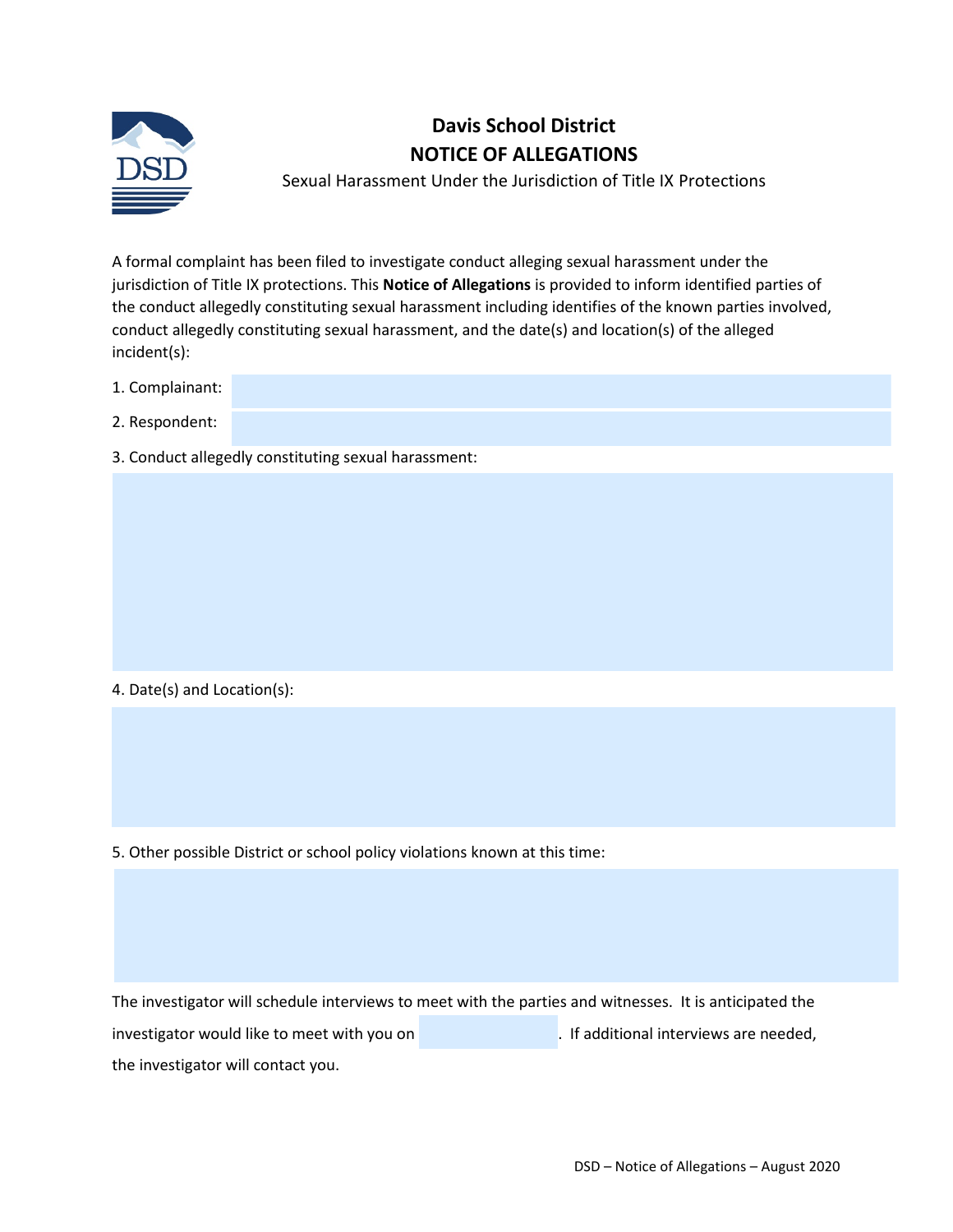

# **Davis School District NOTICE OF ALLEGATIONS**

Sexual Harassment Under the Jurisdiction of Title IX Protections

A formal complaint has been filed to investigate conduct alleging sexual harassment under the jurisdiction of Title IX protections. This **Notice of Allegations** is provided to inform identified parties of the conduct allegedly constituting sexual harassment including identifies of the known parties involved, conduct allegedly constituting sexual harassment, and the date(s) and location(s) of the alleged incident(s):

- 1. Complainant:
- 2. Respondent:
- 3. Conduct allegedly constituting sexual harassment:

4. Date(s) and Location(s):

5. Other possible District or school policy violations known at this time:

The investigator will schedule interviews to meet with the parties and witnesses. It is anticipated the investigator would like to meet with you on . If additional interviews are needed, the investigator will contact you.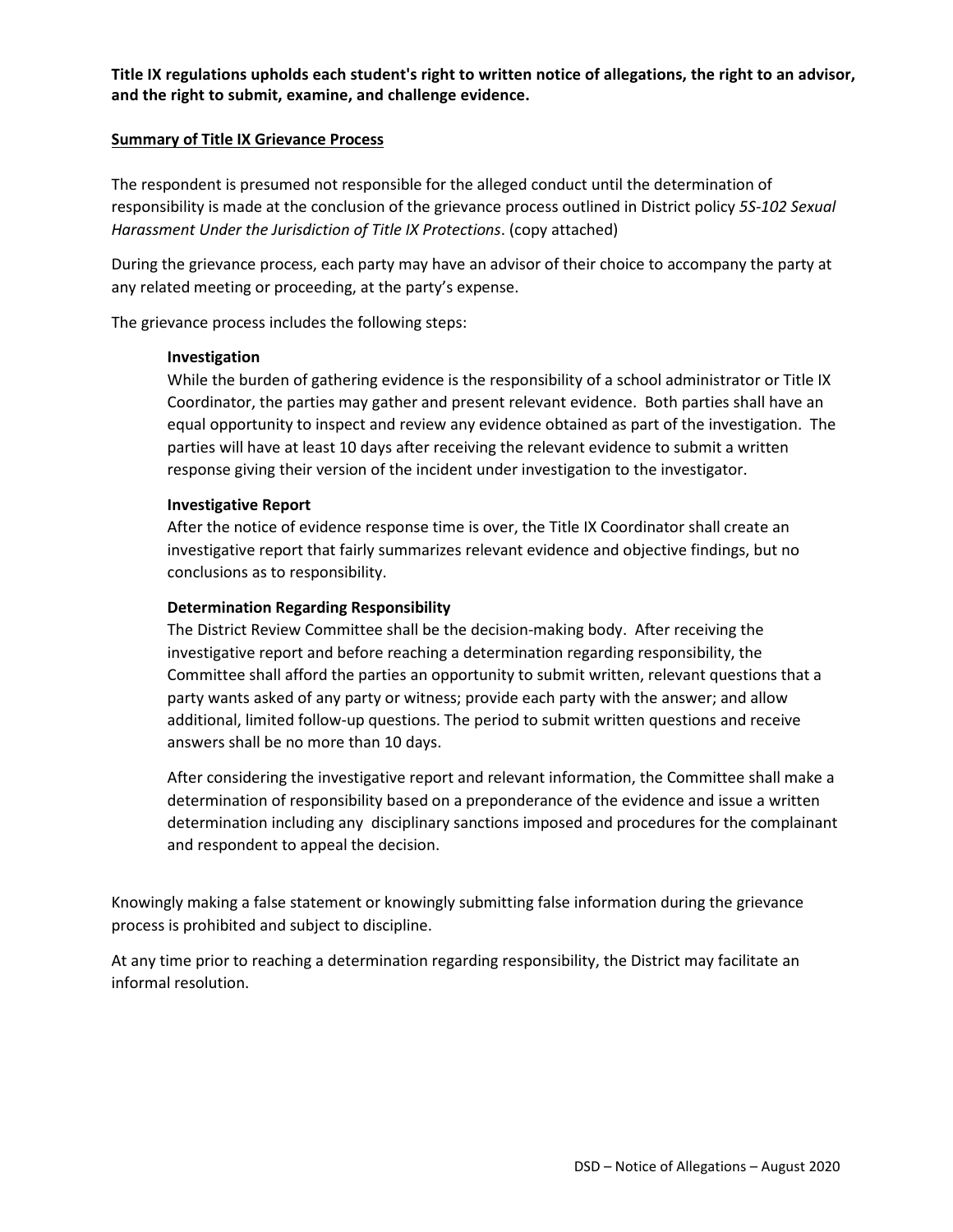# **Title IX regulations upholds each student's right to written notice of allegations, the right to an advisor, and the right to submit, examine, and challenge evidence.**

## **Summary of Title IX Grievance Process**

The respondent is presumed not responsible for the alleged conduct until the determination of responsibility is made at the conclusion of the grievance process outlined in District policy *5S-102 Sexual Harassment Under the Jurisdiction of Title IX Protections*. (copy attached)

During the grievance process, each party may have an advisor of their choice to accompany the party at any related meeting or proceeding, at the party's expense.

The grievance process includes the following steps:

#### **Investigation**

While the burden of gathering evidence is the responsibility of a school administrator or Title IX Coordinator, the parties may gather and present relevant evidence. Both parties shall have an equal opportunity to inspect and review any evidence obtained as part of the investigation. The parties will have at least 10 days after receiving the relevant evidence to submit a written response giving their version of the incident under investigation to the investigator.

#### **Investigative Report**

After the notice of evidence response time is over, the Title IX Coordinator shall create an investigative report that fairly summarizes relevant evidence and objective findings, but no conclusions as to responsibility.

## **Determination Regarding Responsibility**

The District Review Committee shall be the decision-making body. After receiving the investigative report and before reaching a determination regarding responsibility, the Committee shall afford the parties an opportunity to submit written, relevant questions that a party wants asked of any party or witness; provide each party with the answer; and allow additional, limited follow-up questions. The period to submit written questions and receive answers shall be no more than 10 days.

After considering the investigative report and relevant information, the Committee shall make a determination of responsibility based on a preponderance of the evidence and issue a written determination including any disciplinary sanctions imposed and procedures for the complainant and respondent to appeal the decision.

Knowingly making a false statement or knowingly submitting false information during the grievance process is prohibited and subject to discipline.

At any time prior to reaching a determination regarding responsibility, the District may facilitate an informal resolution.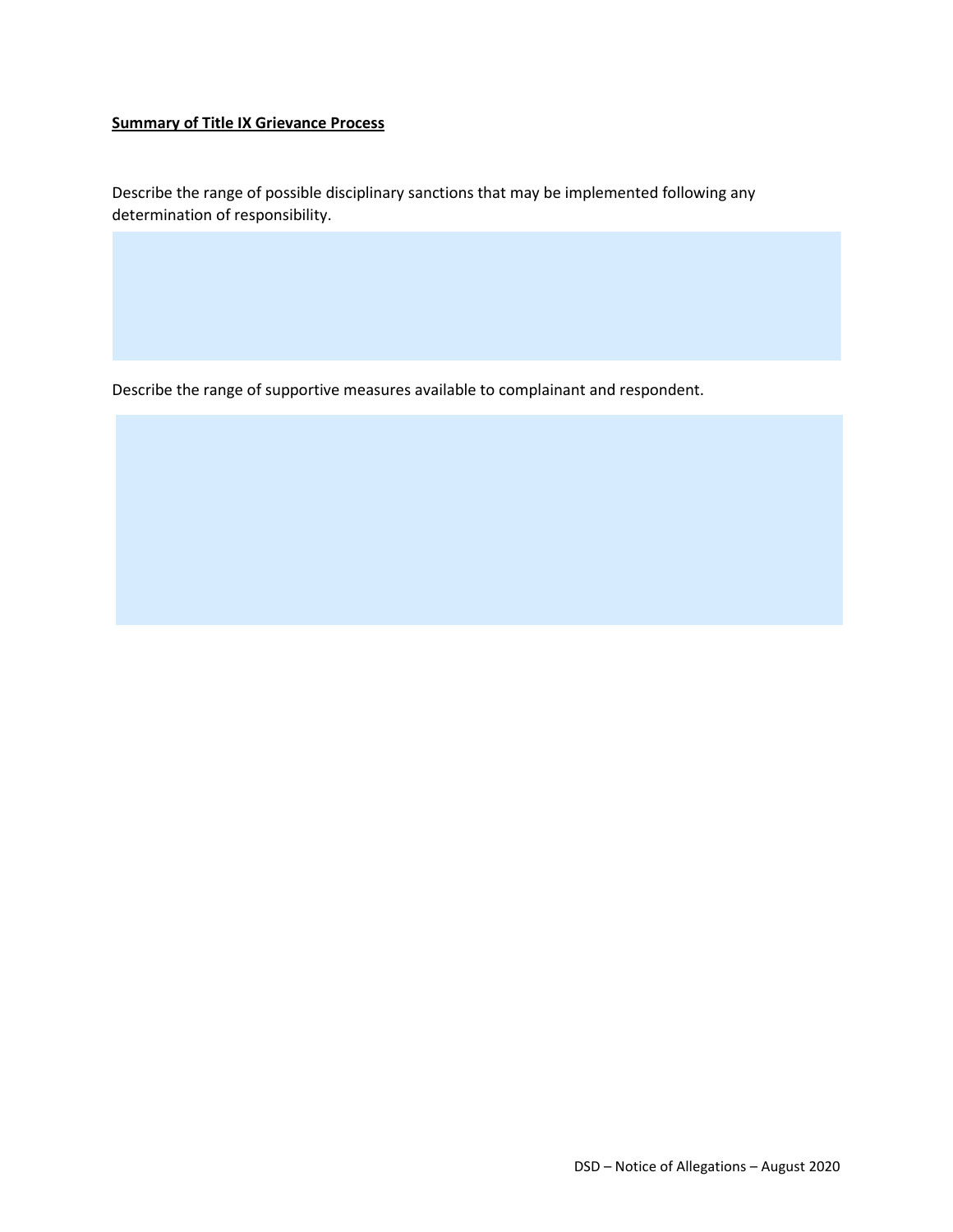# **Summary of Title IX Grievance Process**

Describe the range of possible disciplinary sanctions that may be implemented following any determination of responsibility.

Describe the range of supportive measures available to complainant and respondent.